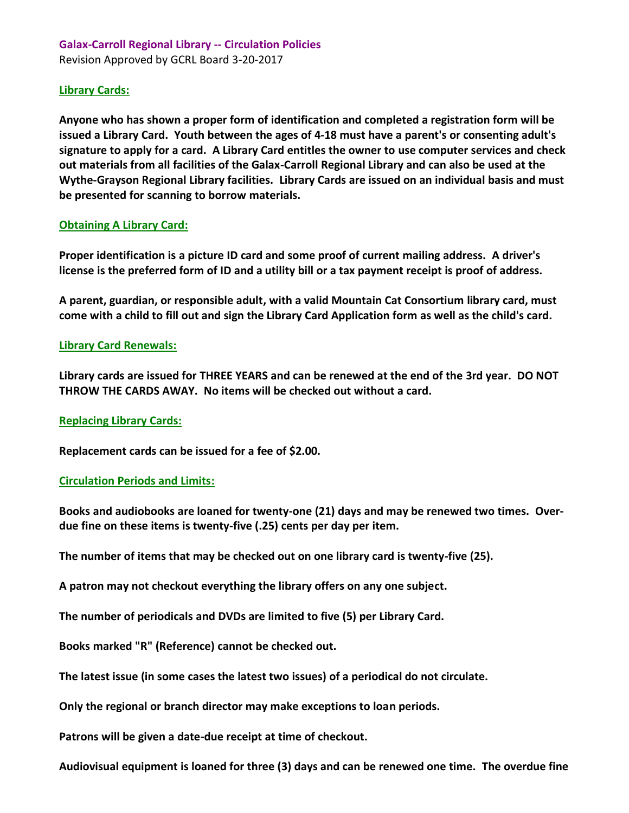# **Galax-Carroll Regional Library -- Circulation Policies**  Revision Approved by GCRL Board 3-20-2017

## **Library Cards:**

**Anyone who has shown a proper form of identification and completed a registration form will be issued a Library Card. Youth between the ages of 4-18 must have a parent's or consenting adult's signature to apply for a card. A Library Card entitles the owner to use computer services and check out materials from all facilities of the Galax-Carroll Regional Library and can also be used at the Wythe-Grayson Regional Library facilities. Library Cards are issued on an individual basis and must be presented for scanning to borrow materials.**

### **Obtaining A Library Card:**

**Proper identification is a picture ID card and some proof of current mailing address. A driver's license is the preferred form of ID and a utility bill or a tax payment receipt is proof of address.**

**A parent, guardian, or responsible adult, with a valid Mountain Cat Consortium library card, must come with a child to fill out and sign the Library Card Application form as well as the child's card.**

# **Library Card Renewals:**

**Library cards are issued for THREE YEARS and can be renewed at the end of the 3rd year. DO NOT THROW THE CARDS AWAY. No items will be checked out without a card.**

### **Replacing Library Cards:**

**Replacement cards can be issued for a fee of \$2.00.**

### **Circulation Periods and Limits:**

**Books and audiobooks are loaned for twenty-one (21) days and may be renewed two times. Overdue fine on these items is twenty-five (.25) cents per day per item.**

**The number of items that may be checked out on one library card is twenty-five (25).**

**A patron may not checkout everything the library offers on any one subject.**

**The number of periodicals and DVDs are limited to five (5) per Library Card.**

**Books marked "R" (Reference) cannot be checked out.**

**The latest issue (in some cases the latest two issues) of a periodical do not circulate.**

**Only the regional or branch director may make exceptions to loan periods.**

**Patrons will be given a date-due receipt at time of checkout.**

**Audiovisual equipment is loaned for three (3) days and can be renewed one time. The overdue fine**